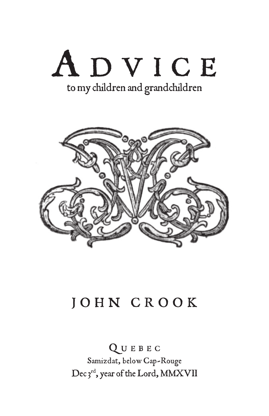



## JOHN CROOK

QUEBEC Samizdat, below Cap-Rouge Dec 3rd, year of the Lord, MMXVII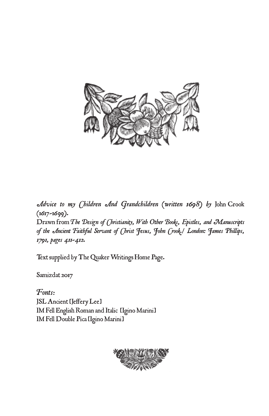

*Advice to my Children And Grandchildren (written 1698) by* John Crook (1617-1699).

Drawn from *The Design of (hristianity, With Other Books, Epistles, and Manuscripts of the Ancient Faithful Servant of Christ Jesus, John Crook./ London: James Phillips, 1791, pages 411-412.* 

Text supplied by [The Quaker Writings Home Page](http://www.qhpress.org/quakerpages/qwhp/qwhp.htm).

[Samizdat](http://www.samizdat.qc.ca/Ebooks/) 2017

*Fonts*: JSL Ancient [Jeffery Lee] IM Fell English Roman and Italic [Igino Marini] IM Fell Double Pica [Igino Marini]

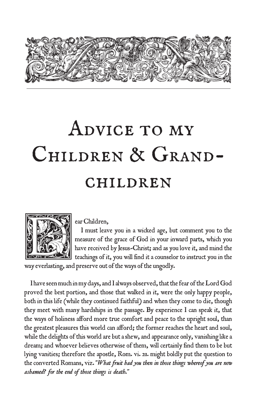

## Advice to my CHILDREN & GRANDchildren



I must leave you in a wicked age, but comment you to the measure of the grace of God in your inward parts, which you have received by Jesus-Christ; and as you love it, and mind the teachings of it, you will find it a counselor to instruct you in the

way everlasting, and preserve out of the ways of the ungodly.

I have seen much in my days, and I always observed, that the fear of the Lord God proved the best portion, and those that walked in it, were the only happy people, both in this life (while they continued faithful) and when they come to die, though they meet with many hardships in the passage. By experience I can speak it, that the ways of holiness afford more true comfort and peace to the upright soul, than the greatest pleasures this world can afford; the former reaches the heart and soul, while the delights of this world are but a shew, and appearance only, vanishing like a dream; and whoever believes otherwise of them, will certainly find them to be but lying vanities; therefore the apostle, Rom. vi. 21. might boldly put the question to the converted Romans, viz. *"What fruit had you then in those things whereof you are now ashamed? for the end of those things is death*.*"*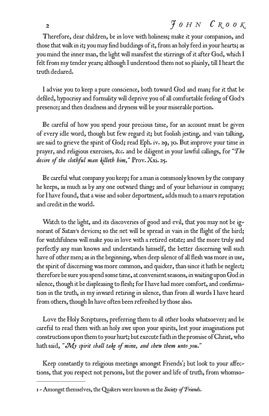## $\mathcal{F}$  *o H*  $N$  *C R o o K*

Therefore, dear children, be in love with holiness; make it your companion, and those that walk in it; you may find buddings of it, from an holy feed in your hearts; as you mind the inner man, the light will manifest the stirrings of it after God, which I felt from my tender years; although I understood them not so plainly, till I heart the truth declared.

I advise you to keep a pure conscience, both toward God and man; for it that be defiled, hypocrisy and formality will deprive you of all comfortable feeling of God's presence; and then deadness and dryness will be your miserable portion.

Be careful of how you spend your precious time, for an account must be given of every idle word, though but few regard it; but foolish jesting, and vain talking, are said to grieve the spirit of God; read Eph. iv. 29, 30. But improve your time in prayer, and religious exercises, &c. and be diligent in your lawful callings, for *"T he desire of the slothful man killeth him,"* Prov. Xxi. 25.

Be careful what company you keep; for a man is commonly known by the company he keeps, as much as by any one outward thing; and of your behaviour in company; for I have found, that a wise and sober deportment, adds much to a man's reputation and credit in the world.

Watch to the light, and its discoveries of good and evil, that you may not be ignorant of Satan's devices; so the net will be spread in vain in the flight of the bird; for watchfulness will make you in love with a retired estate; and the more truly and perfectly any man knows and understands himself, the better discerning will such have of other men; as in the beginning, when deep silence of all flesh was more in use, the spirit of discerning was more common, and quicker, than since it hath be neglect; therefore be sure you spend some time, at convenient seasons, in waiting upon God in silence, though it be displeasing to flesh; for I have had more comfort, and confirmation in the truth, in my inward retiring in silence, than from all words I have heard from others, though In have often been refreshed by those also.

Love the Holy Scriptures, preferring them to all other books whatsoever; and be careful to read them with an holy awe upon your spirits, lest your imaginations put constructions upon them to your hurt; but execute faith in the promise of Christ, who hath said, *"My spirit shall take of mine, and shew them unto you."*

Keep constantly to religious meetings amongst Friends'; but look to your affections, that you respect not persons, but the power and life of truth, from whomso-

<sup>1 -</sup> Amongst themselves, the Quakers were known as the *Society of Friends*.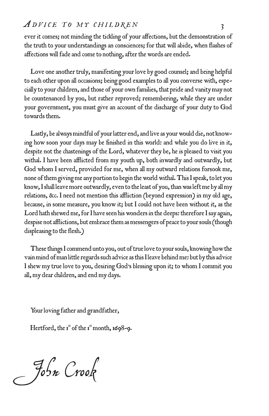## *ADVICE TO MY CHILDREN* 3

ever it comes; not minding the tickling of your affections, but the demonstration of the truth to your understandings an consciences; for that will abide, when flashes of affections will fade and come to nothing, after the words are ended.

Love one another truly, manifesting your love by good counsel; and being helpful to each other upon all occasions; being good examples to all you converse with, especially to your children, and those of your own families, that pride and vanity may not be countenanced by you, but rather reproved; remembering, while they are under your government, you must give an account of the discharge of your duty to God towards them.

Lastly, be always mindful of your latter end, and live as your would die, not knowing how soon your days may be finished in this world: and while you do live in it, despite not the chastenings of the Lord, whatever they be, he is pleased to visit you withal. I have been afflicted from my youth up, both inwardly and outwardly, but God whom I served, provided for me, when all my outward relations forsook me, none of them giving me any portion to begin the world withal. This I speak, to let you know, I shall leave more outwardly, even to the least of you, than was left me by all my relations, &c. I need not mention this affliction (beyond expression) in my old age, because, in some measure, you know it; but I could not have been without it, as the Lord hath shewed me, for I have seen his wonders in the deeps: therefore I say again, despise not afflictions, but embrace them as messengers of peace to your souls (though displeasing to the flesh.)

These things I commend unto you, out of true love to your souls, knowing how the vain mind of man little regards such advice as this I leave behind me: but by this advice I shew my true love to you, desiring God's blessing upon it; to whom I commit you all, my dear children, and end my days.

Your loving father and grandfather,

Hertford, the 1<sup>st</sup> of the 1<sup>st</sup> month, 1698-9.

John Crook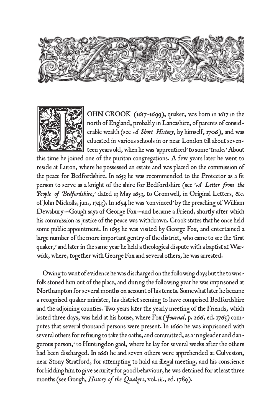



OHN CROOK (1617-1699), quaker, was born in 1617 in the north of England, probably in Lancashire, of parents of considerable wealth (see *A Short History*, by himself, 1706), and was educated in various schools in or near London till about seventeen years old, when he was 'apprenticed' to some 'trade.' About

this time he joined one of the puritan congregations. A few years later he went to reside at Luton, where he possessed an estate and was placed on the commission of the peace for Bedfordshire. In 1653 he was recommended to the Protector as a fit person to serve as a knight of the shire for Bedfordshire (see '*A Letter from the People of Bedfordshire*,' dated 13 May 1653, to Cromwell, in Original Letters, &c. of John Nickolls, jun., 1743). In 1654 he was 'convinced' by the preaching of William Dewsbury—Gough says of George Fox—and became a Friend, shortly after which his commission as justice of the peace was withdrawn. Crook states that he once held some public appointment. In 1655 he was visited by George Fox, and entertained a large number of the more important gentry of the district, who came to see the 'first quaker,' and later in the same year he held a theological dispute with a baptist at Warwick, where, together with George Fox and several others, he was arrested.

Owing to want of evidence he was discharged on the following day; but the townsfolk stoned him out of the place, and during the following year he was imprisoned at Northampton for several months on account of his tenets. Somewhat later he became a recognised quaker minister, his district seeming to have comprised Bedfordshire and the adjoining counties. Two years later the yearly meeting of the Friends, which lasted three days, was held at his house, where Fox (*Journal*, p. 266, ed. 1765) computes that several thousand persons were present. In 1660 he was imprisoned with several others for refusing to take the oaths, and committed, as a 'ringleader and dangerous person,' to Huntingdon gaol, where he lay for several weeks after the others had been discharged. In 1661 he and seven others were apprehended at Culveston, near Stony Stratford, for attempting to hold an illegal meeting, and his conscience forbidding him to give security for good behaviour, he was detained for at least three months (see Gough, *History of the Quakers*, vol. iii., ed. 1789).